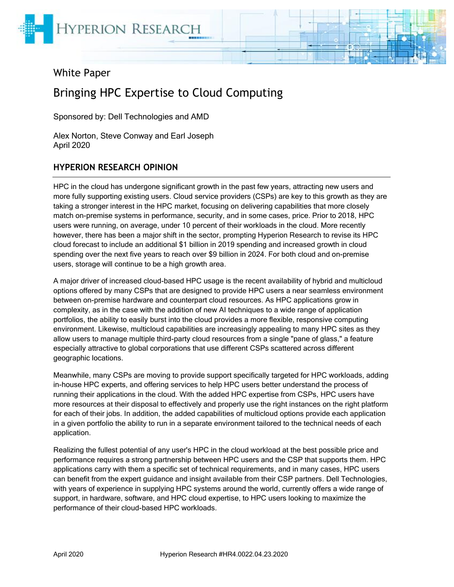

# White Paper

# Bringing HPC Expertise to Cloud Computing

Sponsored by: Dell Technologies and AMD

Alex Norton, Steve Conway and Earl Joseph April 2020

#### **HYPERION RESEARCH OPINION**

HPC in the cloud has undergone significant growth in the past few years, attracting new users and more fully supporting existing users. Cloud service providers (CSPs) are key to this growth as they are taking a stronger interest in the HPC market, focusing on delivering capabilities that more closely match on-premise systems in performance, security, and in some cases, price. Prior to 2018, HPC users were running, on average, under 10 percent of their workloads in the cloud. More recently however, there has been a major shift in the sector, prompting Hyperion Research to revise its HPC cloud forecast to include an additional \$1 billion in 2019 spending and increased growth in cloud spending over the next five years to reach over \$9 billion in 2024. For both cloud and on-premise users, storage will continue to be a high growth area.

A major driver of increased cloud-based HPC usage is the recent availability of hybrid and multicloud options offered by many CSPs that are designed to provide HPC users a near seamless environment between on-premise hardware and counterpart cloud resources. As HPC applications grow in complexity, as in the case with the addition of new AI techniques to a wide range of application portfolios, the ability to easily burst into the cloud provides a more flexible, responsive computing environment. Likewise, multicloud capabilities are increasingly appealing to many HPC sites as they allow users to manage multiple third-party cloud resources from a single "pane of glass," a feature especially attractive to global corporations that use different CSPs scattered across different geographic locations.

Meanwhile, many CSPs are moving to provide support specifically targeted for HPC workloads, adding in-house HPC experts, and offering services to help HPC users better understand the process of running their applications in the cloud. With the added HPC expertise from CSPs, HPC users have more resources at their disposal to effectively and properly use the right instances on the right platform for each of their jobs. In addition, the added capabilities of multicloud options provide each application in a given portfolio the ability to run in a separate environment tailored to the technical needs of each application.

Realizing the fullest potential of any user's HPC in the cloud workload at the best possible price and performance requires a strong partnership between HPC users and the CSP that supports them. HPC applications carry with them a specific set of technical requirements, and in many cases, HPC users can benefit from the expert guidance and insight available from their CSP partners. Dell Technologies, with years of experience in supplying HPC systems around the world, currently offers a wide range of support, in hardware, software, and HPC cloud expertise, to HPC users looking to maximize the performance of their cloud-based HPC workloads.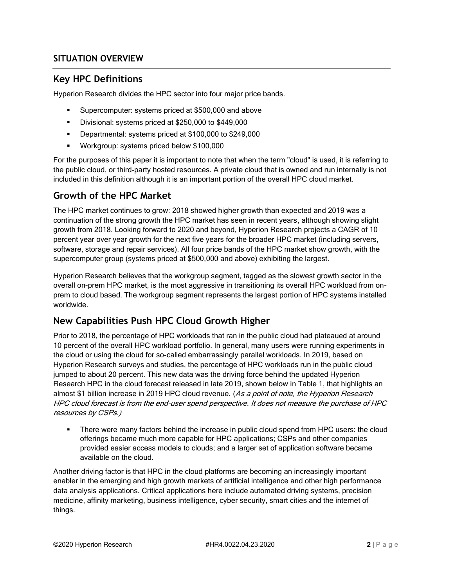## **SITUATION OVERVIEW**

# **Key HPC Definitions**

Hyperion Research divides the HPC sector into four major price bands.

- Supercomputer: systems priced at \$500,000 and above
- Divisional: systems priced at \$250,000 to \$449,000
- Departmental: systems priced at \$100,000 to \$249,000
- Workgroup: systems priced below \$100,000

For the purposes of this paper it is important to note that when the term "cloud" is used, it is referring to the public cloud, or third-party hosted resources. A private cloud that is owned and run internally is not included in this definition although it is an important portion of the overall HPC cloud market.

# **Growth of the HPC Market**

The HPC market continues to grow: 2018 showed higher growth than expected and 2019 was a continuation of the strong growth the HPC market has seen in recent years, although showing slight growth from 2018. Looking forward to 2020 and beyond, Hyperion Research projects a CAGR of 10 percent year over year growth for the next five years for the broader HPC market (including servers, software, storage and repair services). All four price bands of the HPC market show growth, with the supercomputer group (systems priced at \$500,000 and above) exhibiting the largest.

Hyperion Research believes that the workgroup segment, tagged as the slowest growth sector in the overall on-prem HPC market, is the most aggressive in transitioning its overall HPC workload from onprem to cloud based. The workgroup segment represents the largest portion of HPC systems installed worldwide.

# **New Capabilities Push HPC Cloud Growth Higher**

Prior to 2018, the percentage of HPC workloads that ran in the public cloud had plateaued at around 10 percent of the overall HPC workload portfolio. In general, many users were running experiments in the cloud or using the cloud for so-called embarrassingly parallel workloads. In 2019, based on Hyperion Research surveys and studies, the percentage of HPC workloads run in the public cloud jumped to about 20 percent. This new data was the driving force behind the updated Hyperion Research HPC in the cloud forecast released in late 2019, shown below in Table 1, that highlights an almost \$1 billion increase in 2019 HPC cloud revenue. (As a point of note, the Hyperion Research HPC cloud forecast is from the end-user spend perspective. It does not measure the purchase of HPC resources by CSPs.)

There were many factors behind the increase in public cloud spend from HPC users: the cloud offerings became much more capable for HPC applications; CSPs and other companies provided easier access models to clouds; and a larger set of application software became available on the cloud.

Another driving factor is that HPC in the cloud platforms are becoming an increasingly important enabler in the emerging and high growth markets of artificial intelligence and other high performance data analysis applications. Critical applications here include automated driving systems, precision medicine, affinity marketing, business intelligence, cyber security, smart cities and the internet of things.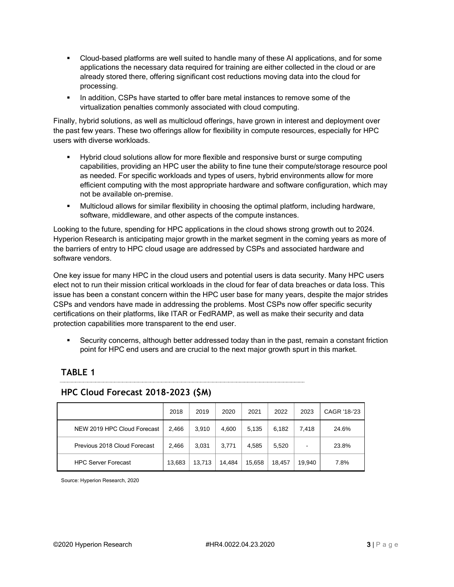- Cloud-based platforms are well suited to handle many of these AI applications, and for some applications the necessary data required for training are either collected in the cloud or are already stored there, offering significant cost reductions moving data into the cloud for processing.
- **.** In addition, CSPs have started to offer bare metal instances to remove some of the virtualization penalties commonly associated with cloud computing.

Finally, hybrid solutions, as well as multicloud offerings, have grown in interest and deployment over the past few years. These two offerings allow for flexibility in compute resources, especially for HPC users with diverse workloads.

- Hybrid cloud solutions allow for more flexible and responsive burst or surge computing capabilities, providing an HPC user the ability to fine tune their compute/storage resource pool as needed. For specific workloads and types of users, hybrid environments allow for more efficient computing with the most appropriate hardware and software configuration, which may not be available on-premise.
- Multicloud allows for similar flexibility in choosing the optimal platform, including hardware, software, middleware, and other aspects of the compute instances.

Looking to the future, spending for HPC applications in the cloud shows strong growth out to 2024. Hyperion Research is anticipating major growth in the market segment in the coming years as more of the barriers of entry to HPC cloud usage are addressed by CSPs and associated hardware and software vendors.

One key issue for many HPC in the cloud users and potential users is data security. Many HPC users elect not to run their mission critical workloads in the cloud for fear of data breaches or data loss. This issue has been a constant concern within the HPC user base for many years, despite the major strides CSPs and vendors have made in addressing the problems. Most CSPs now offer specific security certifications on their platforms, like ITAR or FedRAMP, as well as make their security and data protection capabilities more transparent to the end user.

Security concerns, although better addressed today than in the past, remain a constant friction point for HPC end users and are crucial to the next major growth spurt in this market.

## **TABLE 1**

#### **HPC Cloud Forecast 2018-2023 (\$M)**

|                              | 2018   | 2019   | 2020   | 2021   | 2022   | 2023                     | CAGR '18-'23 |
|------------------------------|--------|--------|--------|--------|--------|--------------------------|--------------|
| NEW 2019 HPC Cloud Forecast  | 2,466  | 3.910  | 4,600  | 5,135  | 6.182  | 7.418                    | 24.6%        |
| Previous 2018 Cloud Forecast | 2,466  | 3,031  | 3,771  | 4,585  | 5,520  | $\overline{\phantom{0}}$ | 23.8%        |
| <b>HPC Server Forecast</b>   | 13,683 | 13,713 | 14,484 | 15,658 | 18.457 | 19.940                   | 7.8%         |

Source: Hyperion Research, 2020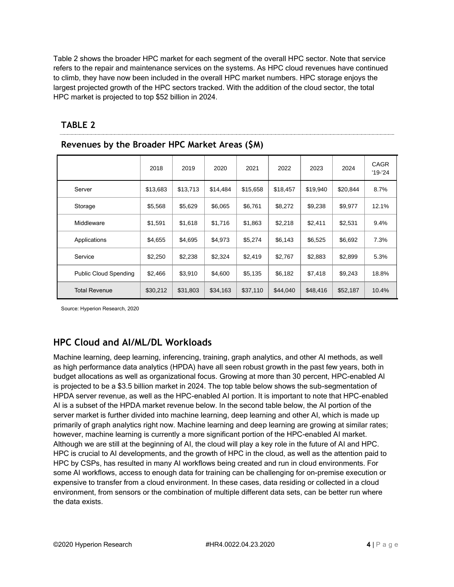Table 2 shows the broader HPC market for each segment of the overall HPC sector. Note that service refers to the repair and maintenance services on the systems. As HPC cloud revenues have continued to climb, they have now been included in the overall HPC market numbers. HPC storage enjoys the largest projected growth of the HPC sectors tracked. With the addition of the cloud sector, the total HPC market is projected to top \$52 billion in 2024.

|                              | 2018     | 2019     | 2020     | 2021     | 2022     | 2023     | 2024     | <b>CAGR</b><br>$'19 - 24$ |
|------------------------------|----------|----------|----------|----------|----------|----------|----------|---------------------------|
| Server                       | \$13,683 | \$13,713 | \$14,484 | \$15,658 | \$18,457 | \$19,940 | \$20,844 | 8.7%                      |
| Storage                      | \$5,568  | \$5,629  | \$6,065  | \$6,761  | \$8,272  | \$9,238  | \$9,977  | 12.1%                     |
| Middleware                   | \$1,591  | \$1,618  | \$1,716  | \$1,863  | \$2,218  | \$2,411  | \$2,531  | 9.4%                      |
| Applications                 | \$4,655  | \$4,695  | \$4,973  | \$5,274  | \$6,143  | \$6,525  | \$6,692  | 7.3%                      |
| Service                      | \$2,250  | \$2,238  | \$2,324  | \$2,419  | \$2,767  | \$2,883  | \$2,899  | 5.3%                      |
| <b>Public Cloud Spending</b> | \$2,466  | \$3,910  | \$4,600  | \$5,135  | \$6,182  | \$7,418  | \$9,243  | 18.8%                     |
| <b>Total Revenue</b>         | \$30,212 | \$31,803 | \$34,163 | \$37,110 | \$44,040 | \$48,416 | \$52,187 | 10.4%                     |

#### **TABLE 2**

**Revenues by the Broader HPC Market Areas (\$M)**

Source: Hyperion Research, 2020

# **HPC Cloud and AI/ML/DL Workloads**

Machine learning, deep learning, inferencing, training, graph analytics, and other AI methods, as well as high performance data analytics (HPDA) have all seen robust growth in the past few years, both in budget allocations as well as organizational focus. Growing at more than 30 percent, HPC-enabled AI is projected to be a \$3.5 billion market in 2024. The top table below shows the sub-segmentation of HPDA server revenue, as well as the HPC-enabled AI portion. It is important to note that HPC-enabled AI is a subset of the HPDA market revenue below. In the second table below, the AI portion of the server market is further divided into machine learning, deep learning and other AI, which is made up primarily of graph analytics right now. Machine learning and deep learning are growing at similar rates; however, machine learning is currently a more significant portion of the HPC-enabled AI market. Although we are still at the beginning of AI, the cloud will play a key role in the future of AI and HPC. HPC is crucial to AI developments, and the growth of HPC in the cloud, as well as the attention paid to HPC by CSPs, has resulted in many AI workflows being created and run in cloud environments. For some AI workflows, access to enough data for training can be challenging for on-premise execution or expensive to transfer from a cloud environment. In these cases, data residing or collected in a cloud environment, from sensors or the combination of multiple different data sets, can be better run where the data exists.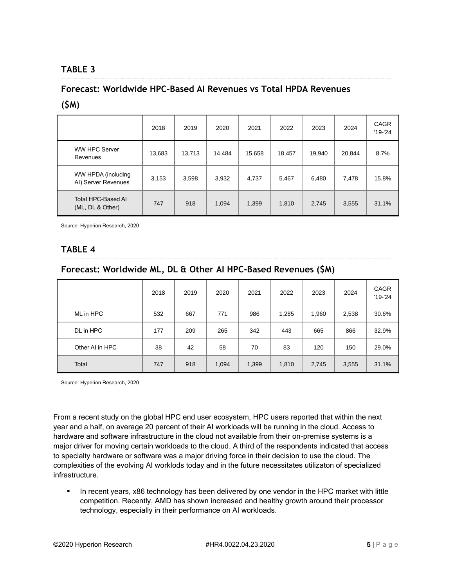# **TABLE 3**

#### **Forecast: Worldwide HPC-Based AI Revenues vs Total HPDA Revenues**

#### **(\$M)**

|                                           | 2018   | 2019   | 2020   | 2021   | 2022   | 2023   | 2024   | <b>CAGR</b><br>$'19-'24$ |
|-------------------------------------------|--------|--------|--------|--------|--------|--------|--------|--------------------------|
| <b>WW HPC Server</b><br>Revenues          | 13,683 | 13,713 | 14.484 | 15,658 | 18,457 | 19,940 | 20,844 | 8.7%                     |
| WW HPDA (including<br>AI) Server Revenues | 3,153  | 3,598  | 3,932  | 4,737  | 5,467  | 6,480  | 7,478  | 15.8%                    |
| Total HPC-Based AI<br>(ML, DL & Other)    | 747    | 918    | 1,094  | 1,399  | 1,810  | 2,745  | 3,555  | 31.1%                    |

Source: Hyperion Research, 2020

# **TABLE 4**

## **Forecast: Worldwide ML, DL & Other AI HPC-Based Revenues (\$M)**

|                 | 2018 | 2019 | 2020  | 2021  | 2022  | 2023  | 2024  | <b>CAGR</b><br>$'19-'24$ |
|-----------------|------|------|-------|-------|-------|-------|-------|--------------------------|
| ML in HPC       | 532  | 667  | 771   | 986   | 1,285 | 1,960 | 2,538 | 30.6%                    |
| DL in HPC       | 177  | 209  | 265   | 342   | 443   | 665   | 866   | 32.9%                    |
| Other AI in HPC | 38   | 42   | 58    | 70    | 83    | 120   | 150   | 29.0%                    |
| Total           | 747  | 918  | 1,094 | 1,399 | 1,810 | 2,745 | 3,555 | 31.1%                    |

Source: Hyperion Research, 2020

From a recent study on the global HPC end user ecosystem, HPC users reported that within the next year and a half, on average 20 percent of their AI workloads will be running in the cloud. Access to hardware and software infrastructure in the cloud not available from their on-premise systems is a major driver for moving certain workloads to the cloud. A third of the respondents indicated that access to specialty hardware or software was a major driving force in their decision to use the cloud. The complexities of the evolving AI worklods today and in the future necessitates utilizaton of specialized infrastructure.

In recent years, x86 technology has been delivered by one vendor in the HPC market with little competition. Recently, AMD has shown increased and healthy growth around their processor technology, especially in their performance on AI workloads.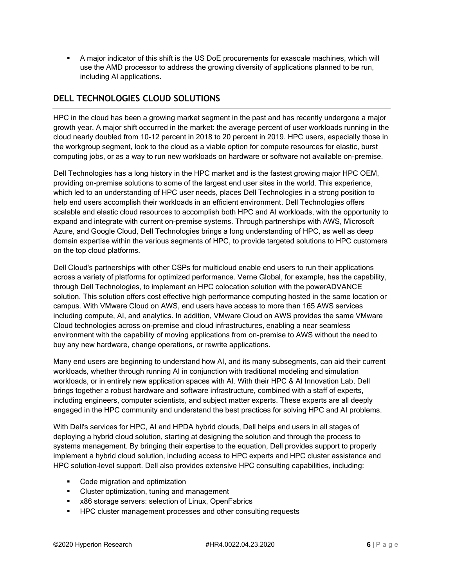▪ A major indicator of this shift is the US DoE procurements for exascale machines, which will use the AMD processor to address the growing diversity of applications planned to be run, including AI applications.

# **DELL TECHNOLOGIES CLOUD SOLUTIONS**

HPC in the cloud has been a growing market segment in the past and has recently undergone a major growth year. A major shift occurred in the market: the average percent of user workloads running in the cloud nearly doubled from 10-12 percent in 2018 to 20 percent in 2019. HPC users, especially those in the workgroup segment, look to the cloud as a viable option for compute resources for elastic, burst computing jobs, or as a way to run new workloads on hardware or software not available on-premise.

Dell Technologies has a long history in the HPC market and is the fastest growing major HPC OEM, providing on-premise solutions to some of the largest end user sites in the world. This experience, which led to an understanding of HPC user needs, places Dell Technologies in a strong position to help end users accomplish their workloads in an efficient environment. Dell Technologies offers scalable and elastic cloud resources to accomplish both HPC and AI workloads, with the opportunity to expand and integrate with current on-premise systems. Through partnerships with AWS, Microsoft Azure, and Google Cloud, Dell Technologies brings a long understanding of HPC, as well as deep domain expertise within the various segments of HPC, to provide targeted solutions to HPC customers on the top cloud platforms.

Dell Cloud's partnerships with other CSPs for multicloud enable end users to run their applications across a variety of platforms for optimized performance. Verne Global, for example, has the capability, through Dell Technologies, to implement an HPC colocation solution with the powerADVANCE solution. This solution offers cost effective high performance computing hosted in the same location or campus. With VMware Cloud on AWS, end users have access to more than 165 AWS services including compute, AI, and analytics. In addition, VMware Cloud on AWS provides the same VMware Cloud technologies across on-premise and cloud infrastructures, enabling a near seamless environment with the capability of moving applications from on-premise to AWS without the need to buy any new hardware, change operations, or rewrite applications.

Many end users are beginning to understand how AI, and its many subsegments, can aid their current workloads, whether through running AI in conjunction with traditional modeling and simulation workloads, or in entirely new application spaces with AI. With their HPC & AI Innovation Lab, Dell brings together a robust hardware and software infrastructure, combined with a staff of experts, including engineers, computer scientists, and subject matter experts. These experts are all deeply engaged in the HPC community and understand the best practices for solving HPC and AI problems.

With Dell's services for HPC, AI and HPDA hybrid clouds, Dell helps end users in all stages of deploying a hybrid cloud solution, starting at designing the solution and through the process to systems management. By bringing their expertise to the equation, Dell provides support to properly implement a hybrid cloud solution, including access to HPC experts and HPC cluster assistance and HPC solution-level support. Dell also provides extensive HPC consulting capabilities, including:

- Code migration and optimization
- Cluster optimization, tuning and management
- x86 storage servers: selection of Linux, OpenFabrics
- HPC cluster management processes and other consulting requests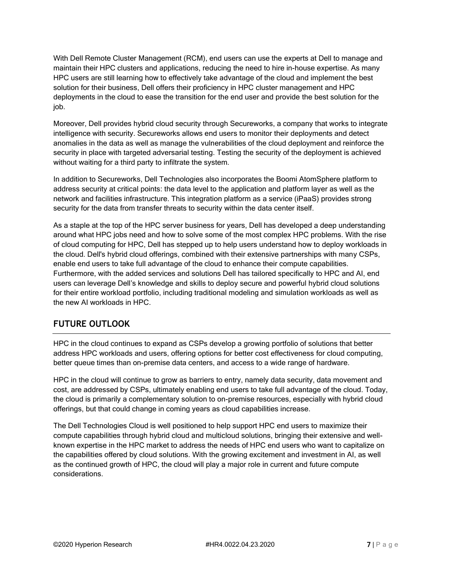With Dell Remote Cluster Management (RCM), end users can use the experts at Dell to manage and maintain their HPC clusters and applications, reducing the need to hire in-house expertise. As many HPC users are still learning how to effectively take advantage of the cloud and implement the best solution for their business, Dell offers their proficiency in HPC cluster management and HPC deployments in the cloud to ease the transition for the end user and provide the best solution for the job.

Moreover, Dell provides hybrid cloud security through Secureworks, a company that works to integrate intelligence with security. Secureworks allows end users to monitor their deployments and detect anomalies in the data as well as manage the vulnerabilities of the cloud deployment and reinforce the security in place with targeted adversarial testing. Testing the security of the deployment is achieved without waiting for a third party to infiltrate the system.

In addition to Secureworks, Dell Technologies also incorporates the Boomi AtomSphere platform to address security at critical points: the data level to the application and platform layer as well as the network and facilities infrastructure. This integration platform as a service (iPaaS) provides strong security for the data from transfer threats to security within the data center itself.

As a staple at the top of the HPC server business for years, Dell has developed a deep understanding around what HPC jobs need and how to solve some of the most complex HPC problems. With the rise of cloud computing for HPC, Dell has stepped up to help users understand how to deploy workloads in the cloud. Dell's hybrid cloud offerings, combined with their extensive partnerships with many CSPs, enable end users to take full advantage of the cloud to enhance their compute capabilities. Furthermore, with the added services and solutions Dell has tailored specifically to HPC and AI, end users can leverage Dell's knowledge and skills to deploy secure and powerful hybrid cloud solutions for their entire workload portfolio, including traditional modeling and simulation workloads as well as the new AI workloads in HPC.

## **FUTURE OUTLOOK**

HPC in the cloud continues to expand as CSPs develop a growing portfolio of solutions that better address HPC workloads and users, offering options for better cost effectiveness for cloud computing, better queue times than on-premise data centers, and access to a wide range of hardware.

HPC in the cloud will continue to grow as barriers to entry, namely data security, data movement and cost, are addressed by CSPs, ultimately enabling end users to take full advantage of the cloud. Today, the cloud is primarily a complementary solution to on-premise resources, especially with hybrid cloud offerings, but that could change in coming years as cloud capabilities increase.

The Dell Technologies Cloud is well positioned to help support HPC end users to maximize their compute capabilities through hybrid cloud and multicloud solutions, bringing their extensive and wellknown expertise in the HPC market to address the needs of HPC end users who want to capitalize on the capabilities offered by cloud solutions. With the growing excitement and investment in AI, as well as the continued growth of HPC, the cloud will play a major role in current and future compute considerations.